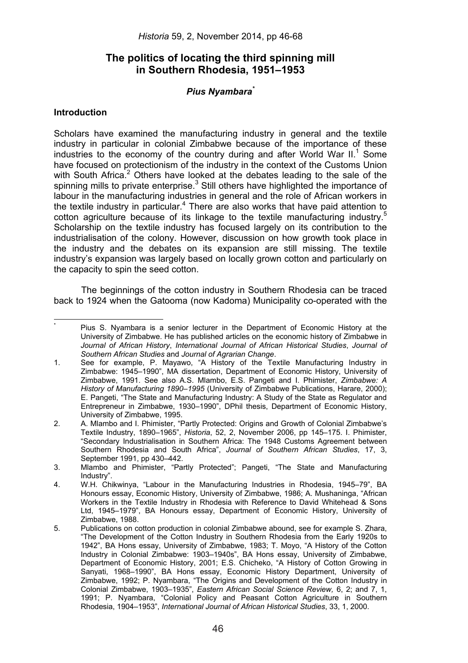# **The politics of locating the third spinning mill in Southern Rhodesia, 1951–1953**

# *Pius Nyambara\**

# **Introduction**

\*

Scholars have examined the manufacturing industry in general and the textile industry in particular in colonial Zimbabwe because of the importance of these industries to the economy of the country during and after World War II. $1$  Some have focused on protectionism of the industry in the context of the Customs Union with South Africa.<sup>2</sup> Others have looked at the debates leading to the sale of the spinning mills to private enterprise.<sup>3</sup> Still others have highlighted the importance of labour in the manufacturing industries in general and the role of African workers in the textile industry in particular.<sup>4</sup> There are also works that have paid attention to cotton agriculture because of its linkage to the textile manufacturing industry.<sup>5</sup> Scholarship on the textile industry has focused largely on its contribution to the industrialisation of the colony. However, discussion on how growth took place in the industry and the debates on its expansion are still missing. The textile industry's expansion was largely based on locally grown cotton and particularly on the capacity to spin the seed cotton.

The beginnings of the cotton industry in Southern Rhodesia can be traced back to 1924 when the Gatooma (now Kadoma) Municipality co-operated with the

 Pius S. Nyambara is a senior lecturer in the Department of Economic History at the University of Zimbabwe. He has published articles on the economic history of Zimbabwe in *Journal of African History*, *International Journal of African Historical Studies*, *Journal of Southern African Studies* and *Journal of Agrarian Change*.

<sup>1.</sup> See for example, P. Mayawo, "A History of the Textile Manufacturing Industry in Zimbabwe: 1945–1990", MA dissertation, Department of Economic History, University of Zimbabwe, 1991. See also A.S. Mlambo, E.S. Pangeti and I. Phimister, *Zimbabwe: A History of Manufacturing 1890–1995* (University of Zimbabwe Publications, Harare, 2000); E. Pangeti, "The State and Manufacturing Industry: A Study of the State as Regulator and Entrepreneur in Zimbabwe, 1930–1990", DPhil thesis, Department of Economic History, University of Zimbabwe, 1995.

<sup>2.</sup> A. Mlambo and I. Phimister, "Partly Protected: Origins and Growth of Colonial Zimbabwe's Textile Industry, 1890–1965", *Historia*, 52, 2, November 2006, pp 145–175. I. Phimister, "Secondary Industrialisation in Southern Africa: The 1948 Customs Agreement between Southern Rhodesia and South Africa", *Journal of Southern African Studies*, 17, 3, September 1991, pp 430–442.

<sup>3.</sup> Mlambo and Phimister, "Partly Protected"; Pangeti, "The State and Manufacturing Industry".

<sup>4.</sup> W.H. Chikwinya, "Labour in the Manufacturing Industries in Rhodesia, 1945–79", BA Honours essay, Economic History, University of Zimbabwe, 1986; A. Mushaninga, "African Workers in the Textile Industry in Rhodesia with Reference to David Whitehead & Sons Ltd, 1945–1979", BA Honours essay, Department of Economic History, University of Zimbabwe, 1988.

<sup>5.</sup> Publications on cotton production in colonial Zimbabwe abound, see for example S. Zhara, "The Development of the Cotton Industry in Southern Rhodesia from the Early 1920s to 1942", BA Hons essay, University of Zimbabwe, 1983; T. Moyo, "A History of the Cotton Industry in Colonial Zimbabwe: 1903–1940s", BA Hons essay, University of Zimbabwe, Department of Economic History, 2001; E.S. Chicheko, "A History of Cotton Growing in Sanyati, 1968–1990", BA Hons essay, Economic History Department, University of Zimbabwe, 1992; P. Nyambara, "The Origins and Development of the Cotton Industry in Colonial Zimbabwe, 1903–1935", *Eastern African Social Science Review,* 6, 2; and 7, 1, 1991; P. Nyambara, "Colonial Policy and Peasant Cotton Agriculture in Southern Rhodesia, 1904–1953", *International Journal of African Historical Studies*, 33, 1, 2000.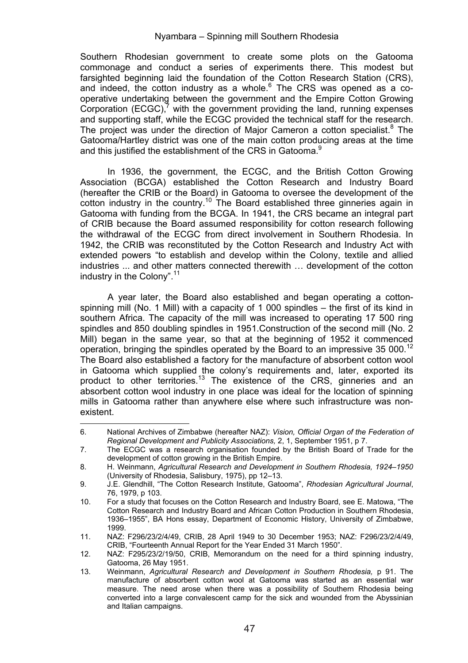Southern Rhodesian government to create some plots on the Gatooma commonage and conduct a series of experiments there. This modest but farsighted beginning laid the foundation of the Cotton Research Station (CRS), and indeed, the cotton industry as a whole.<sup>6</sup> The CRS was opened as a cooperative undertaking between the government and the Empire Cotton Growing Corporation  $(ECGC)$ ,<sup>7</sup> with the government providing the land, running expenses and supporting staff, while the ECGC provided the technical staff for the research. The project was under the direction of Major Cameron a cotton specialist.<sup>8</sup> The Gatooma/Hartley district was one of the main cotton producing areas at the time and this justified the establishment of the CRS in Gatooma.<sup>9</sup>

In 1936, the government, the ECGC, and the British Cotton Growing Association (BCGA) established the Cotton Research and Industry Board (hereafter the CRIB or the Board) in Gatooma to oversee the development of the cotton industry in the country.<sup>10</sup> The Board established three ginneries again in Gatooma with funding from the BCGA. In 1941, the CRS became an integral part of CRIB because the Board assumed responsibility for cotton research following the withdrawal of the ECGC from direct involvement in Southern Rhodesia. In 1942, the CRIB was reconstituted by the Cotton Research and Industry Act with extended powers "to establish and develop within the Colony, textile and allied industries ... and other matters connected therewith … development of the cotton industry in the Colony".11

A year later, the Board also established and began operating a cottonspinning mill (No. 1 Mill) with a capacity of 1 000 spindles – the first of its kind in southern Africa. The capacity of the mill was increased to operating 17 500 ring spindles and 850 doubling spindles in 1951.Construction of the second mill (No. 2 Mill) began in the same year, so that at the beginning of 1952 it commenced operation, bringing the spindles operated by the Board to an impressive 35 000.<sup>12</sup> The Board also established a factory for the manufacture of absorbent cotton wool in Gatooma which supplied the colony's requirements and, later, exported its product to other territories.<sup>13</sup> The existence of the CRS, ginneries and an absorbent cotton wool industry in one place was ideal for the location of spinning mills in Gatooma rather than anywhere else where such infrastructure was nonexistent.

 6. National Archives of Zimbabwe (hereafter NAZ): *Vision, Official Organ of the Federation of Regional Development and Publicity Associations,* 2, 1, September 1951, p 7.

<sup>7.</sup> The ECGC was a research organisation founded by the British Board of Trade for the development of cotton growing in the British Empire.

<sup>8.</sup> H. Weinmann, *Agricultural Research and Development in Southern Rhodesia, 1924–1950* (University of Rhodesia, Salisbury, 1975), pp 12–13.

<sup>9.</sup> J.E. Glendhill, "The Cotton Research Institute, Gatooma", *Rhodesian Agricultural Journal*, 76, 1979, p 103.

<sup>10.</sup> For a study that focuses on the Cotton Research and Industry Board, see E. Matowa, "The Cotton Research and Industry Board and African Cotton Production in Southern Rhodesia, 1936–1955", BA Hons essay, Department of Economic History, University of Zimbabwe, 1999.

<sup>11.</sup> NAZ: F296/23/2/4/49, CRIB, 28 April 1949 to 30 December 1953; NAZ: F296/23/2/4/49, CRIB, "Fourteenth Annual Report for the Year Ended 31 March 1950".

<sup>12.</sup> NAZ: F295/23/2/19/50, CRIB, Memorandum on the need for a third spinning industry, Gatooma, 26 May 1951.

<sup>13.</sup> Weinmann, *Agricultural Research and Development in Southern Rhodesia,* p 91. The manufacture of absorbent cotton wool at Gatooma was started as an essential war measure. The need arose when there was a possibility of Southern Rhodesia being converted into a large convalescent camp for the sick and wounded from the Abyssinian and Italian campaigns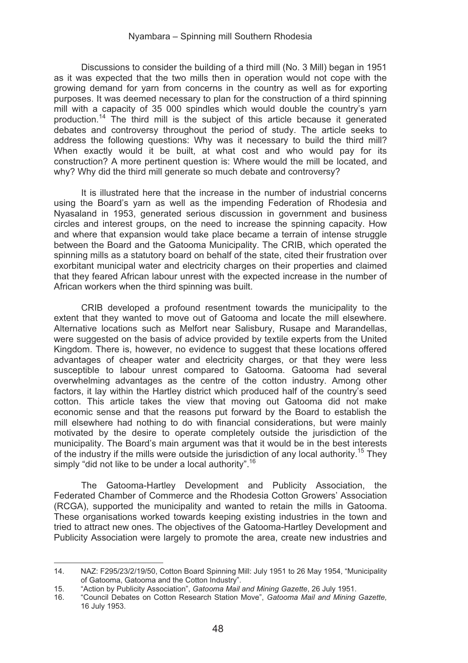Discussions to consider the building of a third mill (No. 3 Mill) began in 1951 as it was expected that the two mills then in operation would not cope with the growing demand for yarn from concerns in the country as well as for exporting purposes. It was deemed necessary to plan for the construction of a third spinning mill with a capacity of 35 000 spindles which would double the country's yarn production.14 The third mill is the subject of this article because it generated debates and controversy throughout the period of study. The article seeks to address the following questions: Why was it necessary to build the third mill? When exactly would it be built, at what cost and who would pay for its construction? A more pertinent question is: Where would the mill be located, and why? Why did the third mill generate so much debate and controversy?

It is illustrated here that the increase in the number of industrial concerns using the Board's yarn as well as the impending Federation of Rhodesia and Nyasaland in 1953, generated serious discussion in government and business circles and interest groups, on the need to increase the spinning capacity. How and where that expansion would take place became a terrain of intense struggle between the Board and the Gatooma Municipality. The CRIB, which operated the spinning mills as a statutory board on behalf of the state, cited their frustration over exorbitant municipal water and electricity charges on their properties and claimed that they feared African labour unrest with the expected increase in the number of African workers when the third spinning was built.

CRIB developed a profound resentment towards the municipality to the extent that they wanted to move out of Gatooma and locate the mill elsewhere. Alternative locations such as Melfort near Salisbury, Rusape and Marandellas, were suggested on the basis of advice provided by textile experts from the United Kingdom. There is, however, no evidence to suggest that these locations offered advantages of cheaper water and electricity charges, or that they were less susceptible to labour unrest compared to Gatooma. Gatooma had several overwhelming advantages as the centre of the cotton industry. Among other factors, it lay within the Hartley district which produced half of the country's seed cotton. This article takes the view that moving out Gatooma did not make economic sense and that the reasons put forward by the Board to establish the mill elsewhere had nothing to do with financial considerations, but were mainly motivated by the desire to operate completely outside the jurisdiction of the municipality. The Board's main argument was that it would be in the best interests of the industry if the mills were outside the jurisdiction of any local authority.<sup>15</sup> They simply "did not like to be under a local authority".<sup>16</sup>

The Gatooma-Hartley Development and Publicity Association, the Federated Chamber of Commerce and the Rhodesia Cotton Growers' Association (RCGA), supported the municipality and wanted to retain the mills in Gatooma. These organisations worked towards keeping existing industries in the town and tried to attract new ones. The objectives of the Gatooma-Hartley Development and Publicity Association were largely to promote the area, create new industries and

<sup>14.</sup> NAZ: F295/23/2/19/50, Cotton Board Spinning Mill: July 1951 to 26 May 1954, "Municipality of Gatooma, Gatooma and the Cotton Industry".

<sup>15. &</sup>quot;Action by Publicity Association", *Gatooma Mail and Mining Gazette*, 26 July 1951.

<sup>16. &</sup>quot;Council Debates on Cotton Research Station Move", *Gatooma Mail and Mining Gazette,*  16 July 1953.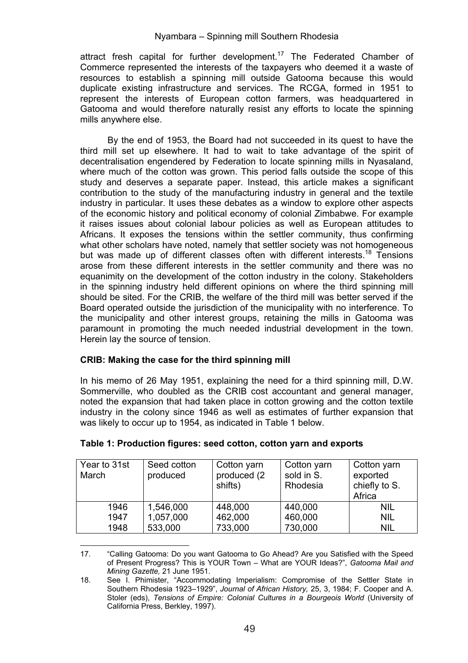attract fresh capital for further development.17 The Federated Chamber of Commerce represented the interests of the taxpayers who deemed it a waste of resources to establish a spinning mill outside Gatooma because this would duplicate existing infrastructure and services. The RCGA, formed in 1951 to represent the interests of European cotton farmers, was headquartered in Gatooma and would therefore naturally resist any efforts to locate the spinning mills anywhere else.

By the end of 1953, the Board had not succeeded in its quest to have the third mill set up elsewhere. It had to wait to take advantage of the spirit of decentralisation engendered by Federation to locate spinning mills in Nyasaland, where much of the cotton was grown. This period falls outside the scope of this study and deserves a separate paper. Instead, this article makes a significant contribution to the study of the manufacturing industry in general and the textile industry in particular. It uses these debates as a window to explore other aspects of the economic history and political economy of colonial Zimbabwe. For example it raises issues about colonial labour policies as well as European attitudes to Africans. It exposes the tensions within the settler community, thus confirming what other scholars have noted, namely that settler society was not homogeneous but was made up of different classes often with different interests.<sup>18</sup> Tensions arose from these different interests in the settler community and there was no equanimity on the development of the cotton industry in the colony. Stakeholders in the spinning industry held different opinions on where the third spinning mill should be sited. For the CRIB, the welfare of the third mill was better served if the Board operated outside the jurisdiction of the municipality with no interference. To the municipality and other interest groups, retaining the mills in Gatooma was paramount in promoting the much needed industrial development in the town. Herein lay the source of tension.

# **CRIB: Making the case for the third spinning mill**

In his memo of 26 May 1951, explaining the need for a third spinning mill, D.W. Sommerville, who doubled as the CRIB cost accountant and general manager, noted the expansion that had taken place in cotton growing and the cotton textile industry in the colony since 1946 as well as estimates of further expansion that was likely to occur up to 1954, as indicated in Table 1 below.

| Year to 31st<br>March | Seed cotton<br>produced | Cotton yarn<br>produced (2)<br>shifts) | Cotton yarn<br>sold in S.<br>Rhodesia | Cotton yarn<br>exported<br>chiefly to S.<br>Africa |
|-----------------------|-------------------------|----------------------------------------|---------------------------------------|----------------------------------------------------|
| 1946                  | 1.546.000               | 448.000                                | 440.000                               | nil                                                |
| 1947                  | 1.057.000               | 462.000                                | 460.000                               | NIL                                                |
| 1948                  | 533.000                 | 733.000                                | 730.000                               | NIL                                                |

#### **Table 1: Production figures: seed cotton, cotton yarn and exports**

 17. "Calling Gatooma: Do you want Gatooma to Go Ahead? Are you Satisfied with the Speed of Present Progress? This is YOUR Town – What are YOUR Ideas?", *Gatooma Mail and Mining Gazette,* 21 June 1951.

<sup>18.</sup> See I. Phimister, "Accommodating Imperialism: Compromise of the Settler State in Southern Rhodesia 1923–1929", *Journal of African History,* 25, 3, 1984; F. Cooper and A. Stoler (eds), *Tensions of Empire: Colonial Cultures in a Bourgeois World* (University of California Press, Berkley, 1997).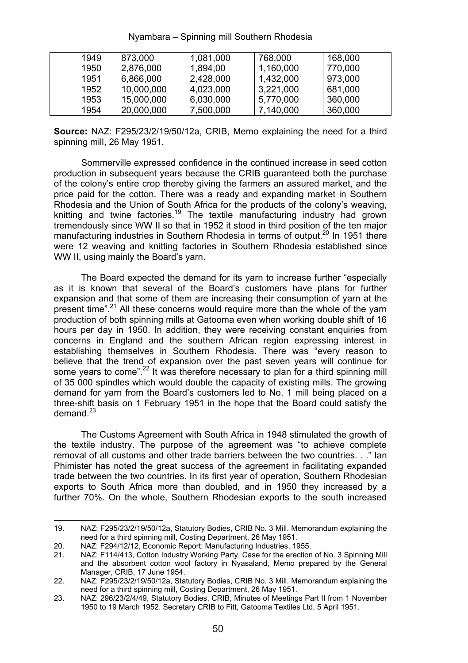| 1949 | 873.000    | 1.081.000 | 768,000   | 168,000 |
|------|------------|-----------|-----------|---------|
| 1950 | 2.876.000  | 1.894.00  | 1.160.000 | 770.000 |
| 1951 | 6.866.000  | 2,428,000 | 1.432.000 | 973.000 |
| 1952 | 10.000.000 | 4.023.000 | 3.221.000 | 681.000 |
| 1953 | 15,000,000 | 6,030,000 | 5.770.000 | 360,000 |
| 1954 | 20.000.000 | 7.500.000 | 7.140.000 | 360,000 |
|      |            |           |           |         |

**Source:** NAZ: F295/23/2/19/50/12a, CRIB, Memo explaining the need for a third spinning mill, 26 May 1951.

Sommerville expressed confidence in the continued increase in seed cotton production in subsequent years because the CRIB guaranteed both the purchase of the colony's entire crop thereby giving the farmers an assured market, and the price paid for the cotton. There was a ready and expanding market in Southern Rhodesia and the Union of South Africa for the products of the colony's weaving, knitting and twine factories.<sup>19</sup> The textile manufacturing industry had grown tremendously since WW II so that in 1952 it stood in third position of the ten major manufacturing industries in Southern Rhodesia in terms of output.<sup>20</sup> In 1951 there were 12 weaving and knitting factories in Southern Rhodesia established since WW II, using mainly the Board's yarn.

The Board expected the demand for its yarn to increase further "especially as it is known that several of the Board's customers have plans for further expansion and that some of them are increasing their consumption of yarn at the present time".<sup>21</sup> All these concerns would require more than the whole of the yarn production of both spinning mills at Gatooma even when working double shift of 16 hours per day in 1950. In addition, they were receiving constant enquiries from concerns in England and the southern African region expressing interest in establishing themselves in Southern Rhodesia. There was "every reason to believe that the trend of expansion over the past seven years will continue for some years to come".<sup>22</sup> It was therefore necessary to plan for a third spinning mill of 35 000 spindles which would double the capacity of existing mills. The growing demand for yarn from the Board's customers led to No. 1 mill being placed on a three-shift basis on 1 February 1951 in the hope that the Board could satisfy the demand<sup>23</sup>

The Customs Agreement with South Africa in 1948 stimulated the growth of the textile industry. The purpose of the agreement was "to achieve complete removal of all customs and other trade barriers between the two countries. . ." Ian Phimister has noted the great success of the agreement in facilitating expanded trade between the two countries. In its first year of operation, Southern Rhodesian exports to South Africa more than doubled, and in 1950 they increased by a further 70%. On the whole, Southern Rhodesian exports to the south increased

 19. NAZ: F295/23/2/19/50/12a, Statutory Bodies, CRIB No. 3 Mill. Memorandum explaining the need for a third spinning mill, Costing Department, 26 May 1951.

<sup>20.</sup> NAZ: F294/12/12, Economic Report: Manufacturing Industries, 1955.<br>21. NAZ: F114/413. Cotton Industry Working Party. Case for the erection

NAZ: F114/413, Cotton Industry Working Party, Case for the erection of No. 3 Spinning Mill and the absorbent cotton wool factory in Nyasaland, Memo prepared by the General Manager, CRIB, 17 June 1954.

<sup>22.</sup> NAZ: F295/23/2/19/50/12a, Statutory Bodies, CRIB No. 3 Mill. Memorandum explaining the need for a third spinning mill, Costing Department, 26 May 1951.

<sup>23.</sup> NAZ: 296/23/2/4/49, Statutory Bodies, CRIB, Minutes of Meetings Part II from 1 November 1950 to 19 March 1952. Secretary CRIB to Fitt, Gatooma Textiles Ltd, 5 April 1951.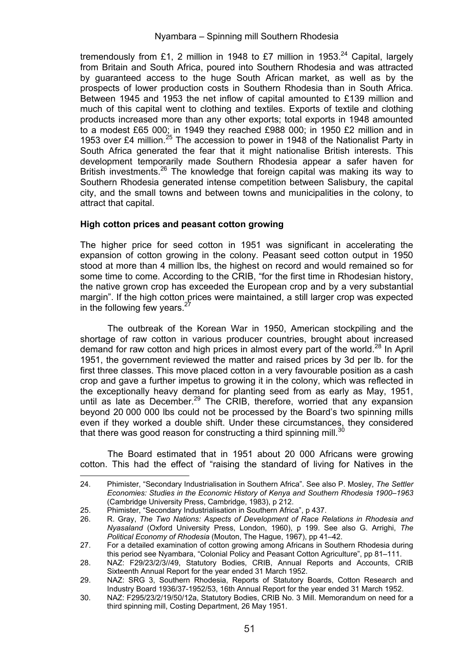tremendously from £1, 2 million in 1948 to £7 million in 1953.<sup>24</sup> Capital, largely from Britain and South Africa, poured into Southern Rhodesia and was attracted by guaranteed access to the huge South African market, as well as by the prospects of lower production costs in Southern Rhodesia than in South Africa. Between 1945 and 1953 the net inflow of capital amounted to £139 million and much of this capital went to clothing and textiles. Exports of textile and clothing products increased more than any other exports; total exports in 1948 amounted to a modest £65 000; in 1949 they reached £988 000; in 1950 £2 million and in 1953 over £4 million.<sup>25</sup> The accession to power in 1948 of the Nationalist Party in South Africa generated the fear that it might nationalise British interests. This development temporarily made Southern Rhodesia appear a safer haven for British investments.<sup>26</sup> The knowledge that foreign capital was making its way to Southern Rhodesia generated intense competition between Salisbury, the capital city, and the small towns and between towns and municipalities in the colony, to attract that capital.

## **High cotton prices and peasant cotton growing**

The higher price for seed cotton in 1951 was significant in accelerating the expansion of cotton growing in the colony. Peasant seed cotton output in 1950 stood at more than 4 million lbs, the highest on record and would remained so for some time to come. According to the CRIB, "for the first time in Rhodesian history, the native grown crop has exceeded the European crop and by a very substantial margin". If the high cotton prices were maintained, a still larger crop was expected in the following few years.

The outbreak of the Korean War in 1950, American stockpiling and the shortage of raw cotton in various producer countries, brought about increased demand for raw cotton and high prices in almost every part of the world.<sup>28</sup> In April 1951, the government reviewed the matter and raised prices by 3d per lb. for the first three classes. This move placed cotton in a very favourable position as a cash crop and gave a further impetus to growing it in the colony, which was reflected in the exceptionally heavy demand for planting seed from as early as May, 1951, until as late as December.<sup>29</sup> The CRIB, therefore, worried that any expansion beyond 20 000 000 lbs could not be processed by the Board's two spinning mills even if they worked a double shift. Under these circumstances, they considered that there was good reason for constructing a third spinning mill.<sup>30</sup>

The Board estimated that in 1951 about 20 000 Africans were growing cotton. This had the effect of "raising the standard of living for Natives in the

 24. Phimister, "Secondary Industrialisation in Southern Africa". See also P. Mosley, *The Settler Economies: Studies in the Economic History of Kenya and Southern Rhodesia 1900–1963* (Cambridge University Press, Cambridge, 1983), p 212.

<sup>25.</sup> Phimister, "Secondary Industrialisation in Southern Africa", p 437.<br>26. R. Gray. The Two Nations: Aspects of Development of Race R

<sup>26.</sup> R. Gray, *The Two Nations: Aspects of Development of Race Relations in Rhodesia and Nyasaland* (Oxford University Press, London, 1960), p 199. See also G. Arrighi, *The Political Economy of Rhodesia* (Mouton, The Hague, 1967), pp 41–42.

<sup>27.</sup> For a detailed examination of cotton growing among Africans in Southern Rhodesia during this period see Nyambara, "Colonial Policy and Peasant Cotton Agriculture", pp 81–111.

<sup>28.</sup> NAZ: F29/23/2/3//49, Statutory Bodies, CRIB, Annual Reports and Accounts, CRIB Sixteenth Annual Report for the year ended 31 March 1952.

<sup>29.</sup> NAZ: SRG 3, Southern Rhodesia, Reports of Statutory Boards, Cotton Research and Industry Board 1936/37-1952/53, 16th Annual Report for the year ended 31 March 1952.

<sup>30.</sup> NAZ: F295/23/2/19/50/12a, Statutory Bodies, CRIB No. 3 Mill. Memorandum on need for a third spinning mill, Costing Department, 26 May 1951.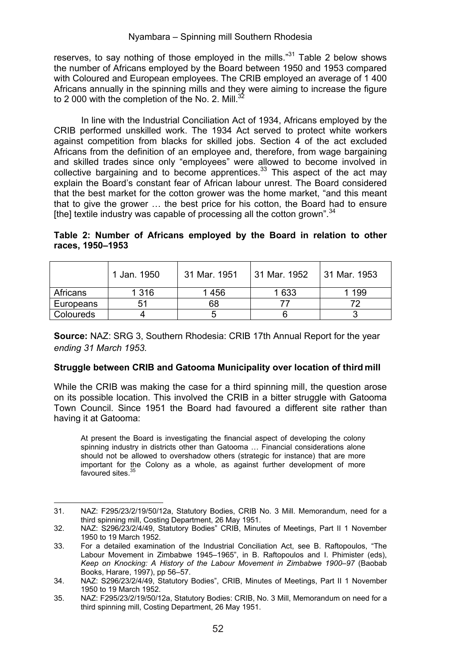reserves, to say nothing of those employed in the mills."<sup>31</sup> Table 2 below shows the number of Africans employed by the Board between 1950 and 1953 compared with Coloured and European employees. The CRIB employed an average of 1 400 Africans annually in the spinning mills and they were aiming to increase the figure to 2,000 with the completion of the No. 2. Mill.<sup>32</sup>

In line with the Industrial Conciliation Act of 1934, Africans employed by the CRIB performed unskilled work. The 1934 Act served to protect white workers against competition from blacks for skilled jobs. Section 4 of the act excluded Africans from the definition of an employee and, therefore, from wage bargaining and skilled trades since only "employees" were allowed to become involved in collective bargaining and to become apprentices.<sup>33</sup> This aspect of the act may explain the Board's constant fear of African labour unrest. The Board considered that the best market for the cotton grower was the home market, "and this meant that to give the grower … the best price for his cotton, the Board had to ensure [the] textile industry was capable of processing all the cotton grown".<sup>34</sup>

|  |                  |  | Table 2: Number of Africans employed by the Board in relation to other |  |  |  |  |
|--|------------------|--|------------------------------------------------------------------------|--|--|--|--|
|  | races, 1950–1953 |  |                                                                        |  |  |  |  |

|           | 1 Jan. 1950 | 31 Mar. 1951 | ⊟31 Mar. 1952 | 31 Mar. 1953 |
|-----------|-------------|--------------|---------------|--------------|
| Africans  | 1 3 1 6     | 1456         | 1633          | 199          |
| Europeans | 51          | 68           |               |              |
| Coloureds |             |              |               |              |

**Source:** NAZ: SRG 3, Southern Rhodesia: CRIB 17th Annual Report for the year *ending 31 March 1953.* 

# **Struggle between CRIB and Gatooma Municipality over location of third mill**

While the CRIB was making the case for a third spinning mill, the question arose on its possible location. This involved the CRIB in a bitter struggle with Gatooma Town Council. Since 1951 the Board had favoured a different site rather than having it at Gatooma:

At present the Board is investigating the financial aspect of developing the colony spinning industry in districts other than Gatooma … Financial considerations alone should not be allowed to overshadow others (strategic for instance) that are more important for the Colony as a whole, as against further development of more<br>favoured sites.<sup>35</sup>

 31. NAZ: F295/23/2/19/50/12a, Statutory Bodies, CRIB No. 3 Mill. Memorandum, need for a third spinning mill, Costing Department, 26 May 1951.

<sup>32.</sup> NAZ: S296/23/2/4/49, Statutory Bodies" CRIB, Minutes of Meetings, Part II 1 November 1950 to 19 March 1952.

<sup>33.</sup> For a detailed examination of the Industrial Conciliation Act, see B. Raftopoulos, "The Labour Movement in Zimbabwe 1945–1965", in B. Raftopoulos and I. Phimister (eds), *Keep on Knocking: A History of the Labour Movement in Zimbabwe 1900–97* (Baobab Books, Harare, 1997), pp 56–57.

<sup>34.</sup> NAZ: S296/23/2/4/49, Statutory Bodies", CRIB, Minutes of Meetings, Part II 1 November 1950 to 19 March 1952.

<sup>35.</sup> NAZ: F295/23/2/19/50/12a, Statutory Bodies: CRIB, No. 3 Mill, Memorandum on need for a third spinning mill, Costing Department, 26 May 1951.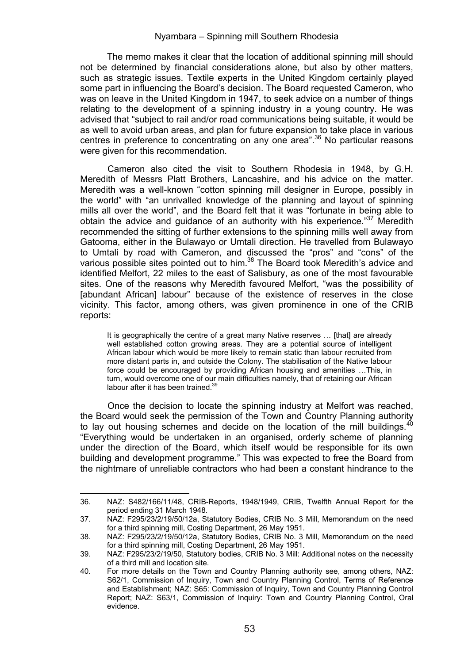The memo makes it clear that the location of additional spinning mill should not be determined by financial considerations alone, but also by other matters, such as strategic issues. Textile experts in the United Kingdom certainly played some part in influencing the Board's decision. The Board requested Cameron, who was on leave in the United Kingdom in 1947, to seek advice on a number of things relating to the development of a spinning industry in a young country. He was advised that "subject to rail and/or road communications being suitable, it would be as well to avoid urban areas, and plan for future expansion to take place in various centres in preference to concentrating on any one area".36 No particular reasons were given for this recommendation.

Cameron also cited the visit to Southern Rhodesia in 1948, by G.H. Meredith of Messrs Platt Brothers, Lancashire, and his advice on the matter. Meredith was a well-known "cotton spinning mill designer in Europe, possibly in the world" with "an unrivalled knowledge of the planning and layout of spinning mills all over the world", and the Board felt that it was "fortunate in being able to obtain the advice and quidance of an authority with his experience.<sup>"37</sup> Meredith recommended the sitting of further extensions to the spinning mills well away from Gatooma, either in the Bulawayo or Umtali direction. He travelled from Bulawayo to Umtali by road with Cameron, and discussed the "pros" and "cons" of the various possible sites pointed out to him.<sup>38</sup> The Board took Meredith's advice and identified Melfort, 22 miles to the east of Salisbury, as one of the most favourable sites. One of the reasons why Meredith favoured Melfort, "was the possibility of [abundant African] labour" because of the existence of reserves in the close vicinity. This factor, among others, was given prominence in one of the CRIB reports:

It is geographically the centre of a great many Native reserves ... [that] are already well established cotton growing areas. They are a potential source of intelligent African labour which would be more likely to remain static than labour recruited from more distant parts in, and outside the Colony. The stabilisation of the Native labour force could be encouraged by providing African housing and amenities …This, in turn, would overcome one of our main difficulties namely, that of retaining our African labour after it has been trained.<sup>39</sup>

Once the decision to locate the spinning industry at Melfort was reached, the Board would seek the permission of the Town and Country Planning authority to lay out housing schemes and decide on the location of the mill buildings. $40$ "Everything would be undertaken in an organised, orderly scheme of planning under the direction of the Board, which itself would be responsible for its own building and development programme." This was expected to free the Board from the nightmare of unreliable contractors who had been a constant hindrance to the

 36. NAZ: S482/166/11/48, CRIB-Reports, 1948/1949, CRIB, Twelfth Annual Report for the period ending 31 March 1948.

<sup>37.</sup> NAZ: F295/23/2/19/50/12a, Statutory Bodies, CRIB No. 3 Mill, Memorandum on the need for a third spinning mill, Costing Department, 26 May 1951.

<sup>38.</sup> NAZ: F295/23/2/19/50/12a, Statutory Bodies, CRIB No. 3 Mill, Memorandum on the need for a third spinning mill, Costing Department, 26 May 1951.

<sup>39.</sup> NAZ: F295/23/2/19/50, Statutory bodies, CRIB No. 3 Mill: Additional notes on the necessity of a third mill and location site.

<sup>40.</sup> For more details on the Town and Country Planning authority see, among others, NAZ: S62/1, Commission of Inquiry, Town and Country Planning Control, Terms of Reference and Establishment; NAZ: S65: Commission of Inquiry, Town and Country Planning Control Report; NAZ: S63/1, Commission of Inquiry: Town and Country Planning Control, Oral evidence.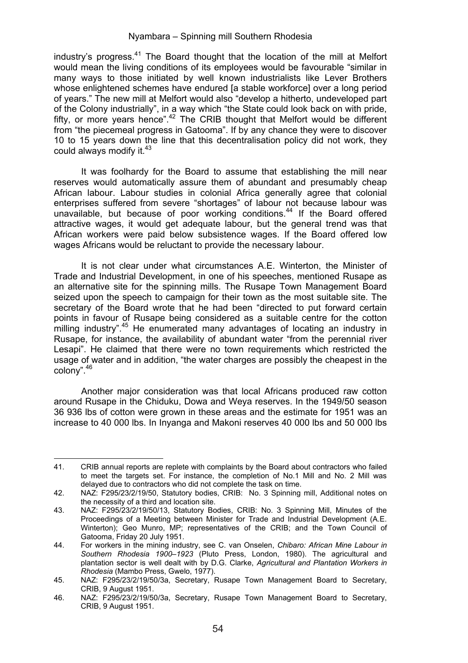industry's progress. $41$  The Board thought that the location of the mill at Melfort would mean the living conditions of its employees would be favourable "similar in many ways to those initiated by well known industrialists like Lever Brothers whose enlightened schemes have endured [a stable workforce] over a long period of years." The new mill at Melfort would also "develop a hitherto, undeveloped part of the Colony industrially", in a way which "the State could look back on with pride, fifty, or more years hence".<sup>42</sup> The CRIB thought that Melfort would be different from "the piecemeal progress in Gatooma". If by any chance they were to discover 10 to 15 years down the line that this decentralisation policy did not work, they could always modify it <sup>43</sup>

It was foolhardy for the Board to assume that establishing the mill near reserves would automatically assure them of abundant and presumably cheap African labour. Labour studies in colonial Africa generally agree that colonial enterprises suffered from severe "shortages" of labour not because labour was unavailable, but because of poor working conditions.<sup>44</sup> If the Board offered attractive wages, it would get adequate labour, but the general trend was that African workers were paid below subsistence wages. If the Board offered low wages Africans would be reluctant to provide the necessary labour.

It is not clear under what circumstances A.E. Winterton, the Minister of Trade and Industrial Development, in one of his speeches, mentioned Rusape as an alternative site for the spinning mills. The Rusape Town Management Board seized upon the speech to campaign for their town as the most suitable site. The secretary of the Board wrote that he had been "directed to put forward certain points in favour of Rusape being considered as a suitable centre for the cotton milling industry".45 He enumerated many advantages of locating an industry in Rusape, for instance, the availability of abundant water "from the perennial river Lesapi". He claimed that there were no town requirements which restricted the usage of water and in addition, "the water charges are possibly the cheapest in the colony".46

Another major consideration was that local Africans produced raw cotton around Rusape in the Chiduku, Dowa and Weya reserves. In the 1949/50 season 36 936 lbs of cotton were grown in these areas and the estimate for 1951 was an increase to 40 000 lbs. In Inyanga and Makoni reserves 40 000 lbs and 50 000 lbs

<sup>&</sup>lt;u> Alexandria de la contrada de la contrada de la contrada de la contrada de la contrada de la contrada de la c</u> 41. CRIB annual reports are replete with complaints by the Board about contractors who failed to meet the targets set. For instance, the completion of No.1 Mill and No. 2 Mill was delayed due to contractors who did not complete the task on time.

<sup>42.</sup> NAZ: F295/23/2/19/50, Statutory bodies, CRIB: No. 3 Spinning mill, Additional notes on the necessity of a third and location site.

<sup>43.</sup> NAZ: F295/23/2/19/50/13, Statutory Bodies, CRIB: No. 3 Spinning Mill, Minutes of the Proceedings of a Meeting between Minister for Trade and Industrial Development (A.E. Winterton); Geo Munro, MP; representatives of the CRIB; and the Town Council of Gatooma, Friday 20 July 1951.

<sup>44.</sup> For workers in the mining industry, see C. van Onselen, *Chibaro: African Mine Labour in Southern Rhodesia 1900–1923* (Pluto Press, London, 1980). The agricultural and plantation sector is well dealt with by D.G. Clarke, *Agricultural and Plantation Workers in Rhodesia* (Mambo Press, Gwelo, 1977).

<sup>45.</sup> NAZ: F295/23/2/19/50/3a, Secretary, Rusape Town Management Board to Secretary, CRIB, 9 August 1951.

<sup>46.</sup> NAZ: F295/23/2/19/50/3a, Secretary, Rusape Town Management Board to Secretary, CRIB, 9 August 1951.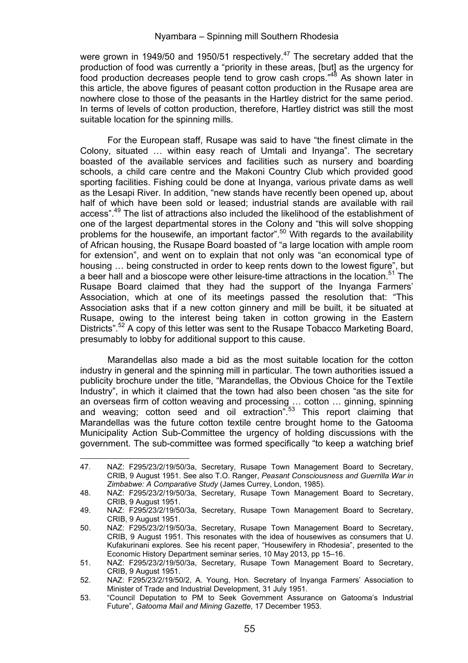were grown in 1949/50 and 1950/51 respectively.<sup>47</sup> The secretary added that the production of food was currently a "priority in these areas, [but] as the urgency for food production decreases people tend to grow cash crops."<sup>48</sup> As shown later in this article, the above figures of peasant cotton production in the Rusape area are nowhere close to those of the peasants in the Hartley district for the same period. In terms of levels of cotton production, therefore, Hartley district was still the most suitable location for the spinning mills.

For the European staff, Rusape was said to have "the finest climate in the Colony, situated … within easy reach of Umtali and Inyanga". The secretary boasted of the available services and facilities such as nursery and boarding schools, a child care centre and the Makoni Country Club which provided good sporting facilities. Fishing could be done at Inyanga, various private dams as well as the Lesapi River. In addition, "new stands have recently been opened up, about half of which have been sold or leased; industrial stands are available with rail access".<sup>49</sup> The list of attractions also included the likelihood of the establishment of one of the largest departmental stores in the Colony and "this will solve shopping problems for the housewife, an important factor".50 With regards to the availability of African housing, the Rusape Board boasted of "a large location with ample room for extension", and went on to explain that not only was "an economical type of housing … being constructed in order to keep rents down to the lowest figure", but a beer hall and a bioscope were other leisure-time attractions in the location.<sup>51</sup> The Rusape Board claimed that they had the support of the Inyanga Farmers' Association, which at one of its meetings passed the resolution that: "This Association asks that if a new cotton ginnery and mill be built, it be situated at Rusape, owing to the interest being taken in cotton growing in the Eastern Districts".<sup>52</sup> A copy of this letter was sent to the Rusape Tobacco Marketing Board, presumably to lobby for additional support to this cause.

Marandellas also made a bid as the most suitable location for the cotton industry in general and the spinning mill in particular. The town authorities issued a publicity brochure under the title, "Marandellas, the Obvious Choice for the Textile Industry", in which it claimed that the town had also been chosen "as the site for an overseas firm of cotton weaving and processing ... cotton ... ginning, spinning<br>and weaving; cotton seed and oil extraction".<sup>53</sup> This report claiming that Marandellas was the future cotton textile centre brought home to the Gatooma Municipality Action Sub-Committee the urgency of holding discussions with the government. The sub-committee was formed specifically "to keep a watching brief

<sup>&</sup>lt;u> Alexandria de la contrada de la contrada de la contrada de la contrada de la contrada de la contrada de la c</u> 47. NAZ: F295/23/2/19/50/3a, Secretary, Rusape Town Management Board to Secretary, CRIB, 9 August 1951. See also T.O. Ranger, *Peasant Consciousness and Guerrilla War in Zimbabwe: A Comparative Study* (James Currey, London, 1985).

<sup>48.</sup> NAZ: F295/23/2/19/50/3a, Secretary, Rusape Town Management Board to Secretary, CRIB, 9 August 1951.

<sup>49.</sup> NAZ: F295/23/2/19/50/3a, Secretary, Rusape Town Management Board to Secretary, CRIB, 9 August 1951.

<sup>50.</sup> NAZ: F295/23/2/19/50/3a, Secretary, Rusape Town Management Board to Secretary, CRIB, 9 August 1951. This resonates with the idea of housewives as consumers that U. Kufakurinani explores. See his recent paper, "Housewifery in Rhodesia", presented to the Economic History Department seminar series, 10 May 2013, pp 15–16.

<sup>51.</sup> NAZ: F295/23/2/19/50/3a, Secretary, Rusape Town Management Board to Secretary, CRIB, 9 August 1951.

<sup>52.</sup> NAZ: F295/23/2/19/50/2, A. Young, Hon. Secretary of Inyanga Farmers' Association to Minister of Trade and Industrial Development, 31 July 1951.

<sup>53. &</sup>quot;Council Deputation to PM to Seek Government Assurance on Gatooma's Industrial Future", *Gatooma Mail and Mining Gazette*, 17 December 1953.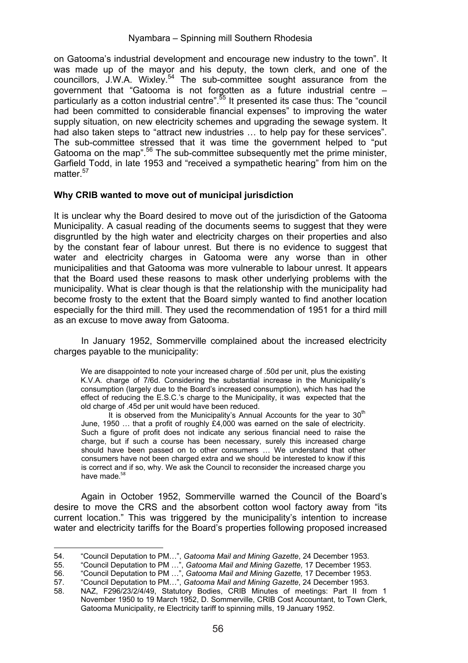on Gatooma's industrial development and encourage new industry to the town". It was made up of the mayor and his deputy, the town clerk, and one of the councillors, J.W.A. Wixley.54 The sub-committee sought assurance from the government that "Gatooma is not forgotten as a future industrial centre – particularly as a cotton industrial centre".55 It presented its case thus: The "council had been committed to considerable financial expenses" to improving the water supply situation, on new electricity schemes and upgrading the sewage system. It had also taken steps to "attract new industries ... to help pay for these services". The sub-committee stressed that it was time the government helped to "put Gatooma on the map".<sup>56</sup> The sub-committee subsequently met the prime minister, Garfield Todd, in late 1953 and "received a sympathetic hearing" from him on the matter.<sup>57</sup>

## **Why CRIB wanted to move out of municipal jurisdiction**

It is unclear why the Board desired to move out of the jurisdiction of the Gatooma Municipality. A casual reading of the documents seems to suggest that they were disgruntled by the high water and electricity charges on their properties and also by the constant fear of labour unrest. But there is no evidence to suggest that water and electricity charges in Gatooma were any worse than in other municipalities and that Gatooma was more vulnerable to labour unrest. It appears that the Board used these reasons to mask other underlying problems with the municipality. What is clear though is that the relationship with the municipality had become frosty to the extent that the Board simply wanted to find another location especially for the third mill. They used the recommendation of 1951 for a third mill as an excuse to move away from Gatooma.

In January 1952, Sommerville complained about the increased electricity charges payable to the municipality:

We are disappointed to note your increased charge of .50d per unit, plus the existing K.V.A. charge of 7/6d. Considering the substantial increase in the Municipality's consumption (largely due to the Board's increased consumption), which has had the effect of reducing the E.S.C.'s charge to the Municipality, it was expected that the old charge of .45d per unit would have been reduced.

It is observed from the Municipality's Annual Accounts for the vear to  $30<sup>th</sup>$ June, 1950 … that a profit of roughly £4,000 was earned on the sale of electricity. Such a figure of profit does not indicate any serious financial need to raise the charge, but if such a course has been necessary, surely this increased charge should have been passed on to other consumers … We understand that other consumers have not been charged extra and we should be interested to know if this is correct and if so, why. We ask the Council to reconsider the increased charge you have made. 58

Again in October 1952, Sommerville warned the Council of the Board's desire to move the CRS and the absorbent cotton wool factory away from "its current location." This was triggered by the municipality's intention to increase water and electricity tariffs for the Board's properties following proposed increased

 54. "Council Deputation to PM…", *Gatooma Mail and Mining Gazette*, 24 December 1953.

<sup>55. &</sup>quot;Council Deputation to PM …", *Gatooma Mail and Mining Gazette,* 17 December 1953.<br>56. "Council Deputation to PM …", *Gatooma Mail and Mining Gazette,* 17 December 1953.<br>57. "Council Deputation to PM…

<sup>58.</sup> NAZ, F296/23/2/4/49, Statutory Bodies, CRIB Minutes of meetings: Part II from 1 November 1950 to 19 March 1952, D. Sommerville, CRIB Cost Accountant, to Town Clerk, Gatooma Municipality, re Electricity tariff to spinning mills, 19 January 1952.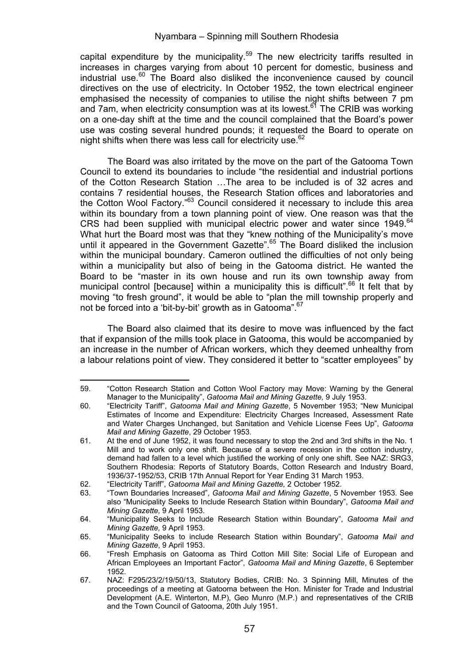capital expenditure by the municipality.<sup>59</sup> The new electricity tariffs resulted in increases in charges varying from about 10 percent for domestic, business and industrial use. $60$  The Board also disliked the inconvenience caused by council directives on the use of electricity. In October 1952, the town electrical engineer emphasised the necessity of companies to utilise the night shifts between 7 pm and 7am, when electricity consumption was at its lowest.<sup>61</sup> The CRIB was working on a one-day shift at the time and the council complained that the Board's power use was costing several hundred pounds; it requested the Board to operate on night shifts when there was less call for electricity use.<sup>62</sup>

The Board was also irritated by the move on the part of the Gatooma Town Council to extend its boundaries to include "the residential and industrial portions of the Cotton Research Station …The area to be included is of 32 acres and contains 7 residential houses, the Research Station offices and laboratories and the Cotton Wool Factory."<sup>63</sup> Council considered it necessary to include this area within its boundary from a town planning point of view. One reason was that the CRS had been supplied with municipal electric power and water since 1949.<sup>64</sup> What hurt the Board most was that they "knew nothing of the Municipality's move until it appeared in the Government Gazette".<sup>65</sup> The Board disliked the inclusion within the municipal boundary. Cameron outlined the difficulties of not only being within a municipality but also of being in the Gatooma district. He wanted the Board to be "master in its own house and run its own township away from municipal control [because] within a municipality this is difficult".<sup>66</sup> It felt that by moving "to fresh ground", it would be able to "plan the mill township properly and not be forced into a 'bit-by-bit' growth as in Gatooma".<sup>67</sup>

The Board also claimed that its desire to move was influenced by the fact that if expansion of the mills took place in Gatooma, this would be accompanied by an increase in the number of African workers, which they deemed unhealthy from a labour relations point of view. They considered it better to "scatter employees" by

 59. "Cotton Research Station and Cotton Wool Factory may Move: Warning by the General Manager to the Municipality", *Gatooma Mail and Mining Gazette,* 9 July 1953.

<sup>60. &</sup>quot;Electricity Tariff", *Gatooma Mail and Mining Gazette*, 5 November 1953; "New Municipal Estimates of Income and Expenditure: Electricity Charges Increased, Assessment Rate and Water Charges Unchanged, but Sanitation and Vehicle License Fees Up", *Gatooma Mail and Mining Gazette*, 29 October 1953.

<sup>61.</sup> At the end of June 1952, it was found necessary to stop the 2nd and 3rd shifts in the No. 1 Mill and to work only one shift. Because of a severe recession in the cotton industry, demand had fallen to a level which justified the working of only one shift. See NAZ: SRG3, Southern Rhodesia: Reports of Statutory Boards, Cotton Research and Industry Board, 1936/37-1952/53, CRIB 17th Annual Report for Year Ending 31 March 1953.

<sup>62. &</sup>quot;Electricity Tariff", *Gatooma Mail and Mining Gazette,* 2 October 1952.

<sup>63. &</sup>quot;Town Boundaries Increased", *Gatooma Mail and Mining Gazette*, 5 November 1953. See also "Municipality Seeks to Include Research Station within Boundary", *Gatooma Mail and Mining Gazette,* 9 April 1953.

<sup>64. &</sup>quot;Municipality Seeks to Include Research Station within Boundary", *Gatooma Mail and Mining Gazette,* 9 April 1953.

<sup>65. &</sup>quot;Municipality Seeks to include Research Station within Boundary", *Gatooma Mail and Mining Gazette*, 9 April 1953.

<sup>66. &</sup>quot;Fresh Emphasis on Gatooma as Third Cotton Mill Site: Social Life of European and African Employees an Important Factor", *Gatooma Mail and Mining Gazette*, 6 September 1952.

<sup>67.</sup> NAZ: F295/23/2/19/50/13, Statutory Bodies, CRIB: No. 3 Spinning Mill, Minutes of the proceedings of a meeting at Gatooma between the Hon. Minister for Trade and Industrial Development (A.E. Winterton, M.P), Geo Munro (M.P.) and representatives of the CRIB and the Town Council of Gatooma, 20th July 1951.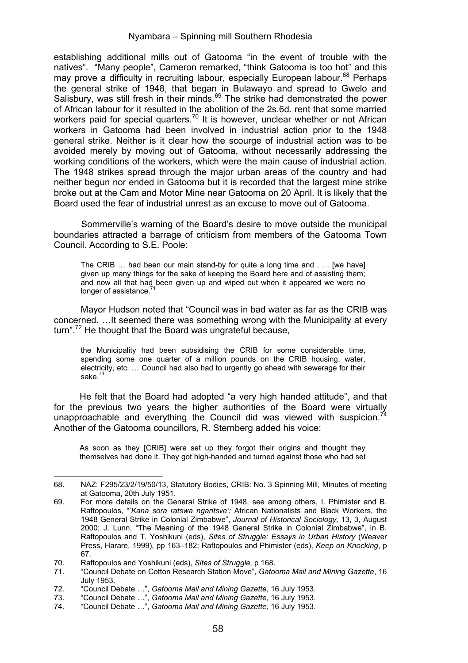establishing additional mills out of Gatooma "in the event of trouble with the natives". "Many people", Cameron remarked, "think Gatooma is too hot" and this may prove a difficulty in recruiting labour, especially European labour.<sup>68</sup> Perhaps the general strike of 1948, that began in Bulawayo and spread to Gwelo and Salisbury, was still fresh in their minds.<sup>69</sup> The strike had demonstrated the power of African labour for it resulted in the abolition of the 2s.6d. rent that some married workers paid for special quarters.<sup>70</sup> It is however, unclear whether or not African workers in Gatooma had been involved in industrial action prior to the 1948 general strike. Neither is it clear how the scourge of industrial action was to be avoided merely by moving out of Gatooma, without necessarily addressing the working conditions of the workers, which were the main cause of industrial action. The 1948 strikes spread through the major urban areas of the country and had neither begun nor ended in Gatooma but it is recorded that the largest mine strike broke out at the Cam and Motor Mine near Gatooma on 20 April. It is likely that the Board used the fear of industrial unrest as an excuse to move out of Gatooma.

Sommerville's warning of the Board's desire to move outside the municipal boundaries attracted a barrage of criticism from members of the Gatooma Town Council. According to S.E. Poole:

The CRIB … had been our main stand-by for quite a long time and . . . [we have] given up many things for the sake of keeping the Board here and of assisting them; and now all that had been given up and wiped out when it appeared we were no longer of assistance.

Mayor Hudson noted that "Council was in bad water as far as the CRIB was concerned. …It seemed there was something wrong with the Municipality at every turn".<sup>72</sup> He thought that the Board was ungrateful because,

the Municipality had been subsidising the CRIB for some considerable time, spending some one quarter of a million pounds on the CRIB housing, water, electricity, etc. … Council had also had to urgently go ahead with sewerage for their  $sake<sup>73</sup>$ 

He felt that the Board had adopted "a very high handed attitude", and that for the previous two years the higher authorities of the Board were virtually unapproachable and everything the Council did was viewed with suspicion.<sup>74</sup> Another of the Gatooma councillors, R. Sternberg added his voice:

As soon as they [CRIB] were set up they forgot their origins and thought they themselves had done it. They got high-handed and turned against those who had set

 68. NAZ: F295/23/2/19/50/13, Statutory Bodies, CRIB: No. 3 Spinning Mill, Minutes of meeting at Gatooma, 20th July 1951.

<sup>69.</sup> For more details on the General Strike of 1948, see among others, I. Phimister and B. Raftopoulos, "'*Kana sora ratswa ngaritsve':* African Nationalists and Black Workers, the 1948 General Strike in Colonial Zimbabwe", *Journal of Historical Sociology,* 13, 3, August 2000; J. Lunn, "The Meaning of the 1948 General Strike in Colonial Zimbabwe", in B. Raftopoulos and T. Yoshikuni (eds), *Sites of Struggle: Essays in Urban History* (Weaver Press, Harare, 1999), pp 163–182; Raftopoulos and Phimister (eds), *Keep on Knocking*, p 67.

<sup>70.</sup> Raftopoulos and Yoshikuni (eds), *Sites of Struggle,* p 168.

<sup>71. &</sup>quot;Council Debate on Cotton Research Station Move", *Gatooma Mail and Mining Gazette*, 16 July 1953.

<sup>72. &</sup>quot;Council Debate …", *Gatooma Mail and Mining Gazette*, 16 July 1953.

<sup>73. &</sup>quot;Council Debate …", *Gatooma Mail and Mining Gazette*, 16 July 1953.

<sup>74. &</sup>quot;Council Debate …", *Gatooma Mail and Mining Gazette,* 16 July 1953.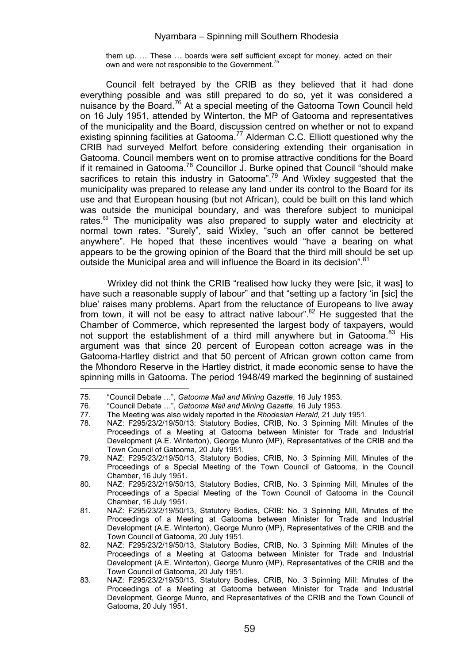them up. … These … boards were self sufficient except for money, acted on their own and were not responsible to the Government.<sup>75</sup>

Council felt betrayed by the CRIB as they believed that it had done everything possible and was still prepared to do so, yet it was considered a nuisance by the Board.<sup>76</sup> At a special meeting of the Gatooma Town Council held on 16 July 1951, attended by Winterton, the MP of Gatooma and representatives of the municipality and the Board, discussion centred on whether or not to expand existing spinning facilities at Gatooma.<sup>77</sup> Alderman C.C. Elliott questioned why the CRIB had surveyed Melfort before considering extending their organisation in Gatooma. Council members went on to promise attractive conditions for the Board if it remained in Gatooma.78 Councillor J. Burke opined that Council "should make sacrifices to retain this industry in Gatooma".<sup>79</sup> And Wixley suggested that the municipality was prepared to release any land under its control to the Board for its use and that European housing (but not African), could be built on this land which was outside the municipal boundary, and was therefore subject to municipal rates.80 The municipality was also prepared to supply water and electricity at normal town rates. "Surely", said Wixley, "such an offer cannot be bettered anywhere". He hoped that these incentives would "have a bearing on what appears to be the growing opinion of the Board that the third mill should be set up outside the Municipal area and will influence the Board in its decision".<sup>81</sup>

Wrixley did not think the CRIB "realised how lucky they were [sic, it was] to have such a reasonable supply of labour" and that "setting up a factory 'in [sic] the blue' raises many problems. Apart from the reluctance of Europeans to live away from town, it will not be easy to attract native labour".<sup>82</sup> He suggested that the Chamber of Commerce, which represented the largest body of taxpayers, would not support the establishment of a third mill anywhere but in Gatooma.<sup>83</sup> His argument was that since 20 percent of European cotton acreage was in the Gatooma-Hartley district and that 50 percent of African grown cotton came from the Mhondoro Reserve in the Hartley district, it made economic sense to have the spinning mills in Gatooma. The period 1948/49 marked the beginning of sustained

<sup>75. &</sup>quot;Council Debate …", *Gatooma Mail and Mining Gazette*, 16 July 1953.

<sup>76. &</sup>quot;Council Debate …", *Gatooma Mail and Mining Gazette*, 16 July 1953.

<sup>77.</sup> The Meeting was also widely reported in the *Rhodesian Herald,* 21 July 1951.

<sup>78.</sup> NAZ: F295/23/2/19/50/13: Statutory Bodies, CRIB, No. 3 Spinning Mill: Minutes of the Proceedings of a Meeting at Gatooma between Minister for Trade and Industrial Development (A.E. Winterton), George Munro (MP), Representatives of the CRIB and the Town Council of Gatooma, 20 July 1951.

<sup>79.</sup> NAZ: F295/23/2/19/50/13, Statutory Bodies, CRIB, No. 3 Spinning Mill, Minutes of the Proceedings of a Special Meeting of the Town Council of Gatooma, in the Council Chamber, 16 July 1951.

<sup>80.</sup> NAZ: F295/23/2/19/50/13, Statutory Bodies, CRIB, No. 3 Spinning Mill, Minutes of the Proceedings of a Special Meeting of the Town Council of Gatooma in the Council Chamber, 16 July 1951.

<sup>81.</sup> NAZ: F295/23/2/19/50/13, Statutory Bodies, CRIB: No. 3 Spinning Mill, Minutes of the Proceedings of a Meeting at Gatooma between Minister for Trade and Industrial Development (A.E. Winterton), George Munro (MP), Representatives of the CRIB and the Town Council of Gatooma, 20 July 1951.

<sup>82.</sup> NAZ: F295/23/2/19/50/13, Statutory Bodies, CRIB, No. 3 Spinning Mill: Minutes of the Proceedings of a Meeting at Gatooma between Minister for Trade and Industrial Development (A.E. Winterton), George Munro (MP), Representatives of the CRIB and the Town Council of Gatooma, 20 July 1951.

<sup>83.</sup> NAZ: F295/23/2/19/50/13, Statutory Bodies, CRIB, No. 3 Spinning Mill: Minutes of the Proceedings of a Meeting at Gatooma between Minister for Trade and Industrial Development, George Munro, and Representatives of the CRIB and the Town Council of Gatooma, 20 July 1951.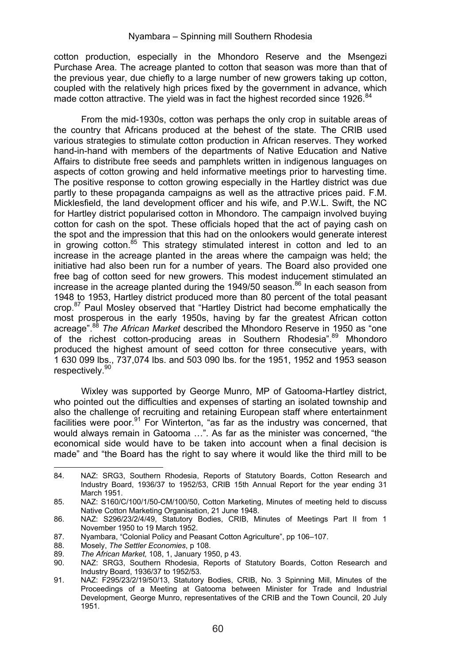cotton production, especially in the Mhondoro Reserve and the Msengezi Purchase Area. The acreage planted to cotton that season was more than that of the previous year, due chiefly to a large number of new growers taking up cotton, coupled with the relatively high prices fixed by the government in advance, which made cotton attractive. The yield was in fact the highest recorded since 1926.<sup>84</sup>

From the mid-1930s, cotton was perhaps the only crop in suitable areas of the country that Africans produced at the behest of the state. The CRIB used various strategies to stimulate cotton production in African reserves. They worked hand-in-hand with members of the departments of Native Education and Native Affairs to distribute free seeds and pamphlets written in indigenous languages on aspects of cotton growing and held informative meetings prior to harvesting time. The positive response to cotton growing especially in the Hartley district was due partly to these propaganda campaigns as well as the attractive prices paid. F.M. Micklesfield, the land development officer and his wife, and P.W.L. Swift, the NC for Hartley district popularised cotton in Mhondoro. The campaign involved buying cotton for cash on the spot. These officials hoped that the act of paying cash on the spot and the impression that this had on the onlookers would generate interest in growing cotton.<sup>85</sup> This strategy stimulated interest in cotton and led to an increase in the acreage planted in the areas where the campaign was held; the initiative had also been run for a number of years. The Board also provided one free bag of cotton seed for new growers. This modest inducement stimulated an increase in the acreage planted during the 1949/50 season. $86$  In each season from 1948 to 1953, Hartley district produced more than 80 percent of the total peasant crop.87 Paul Mosley observed that "Hartley District had become emphatically the most prosperous in the early 1950s, having by far the greatest African cotton acreage".<sup>88</sup> *The African Market* described the Mhondoro Reserve in 1950 as "one of the richest cotton-producing areas in Southern Rhodesia".<sup>89</sup> Mhondoro produced the highest amount of seed cotton for three consecutive years, with 1 630 099 lbs., 737,074 lbs. and 503 090 lbs. for the 1951, 1952 and 1953 season respectively.<sup>90</sup>

Wixley was supported by George Munro, MP of Gatooma-Hartley district, who pointed out the difficulties and expenses of starting an isolated township and also the challenge of recruiting and retaining European staff where entertainment facilities were poor.<sup>91</sup> For Winterton, "as far as the industry was concerned, that would always remain in Gatooma …". As far as the minister was concerned, "the economical side would have to be taken into account when a final decision is made" and "the Board has the right to say where it would like the third mill to be

 84. NAZ: SRG3, Southern Rhodesia, Reports of Statutory Boards, Cotton Research and Industry Board, 1936/37 to 1952/53, CRIB 15th Annual Report for the year ending 31 March 1951.

<sup>85.</sup> NAZ: S160/C/100/1/50-CM/100/50, Cotton Marketing, Minutes of meeting held to discuss Native Cotton Marketing Organisation, 21 June 1948.

<sup>86.</sup> NAZ: S296/23/2/4/49, Statutory Bodies, CRIB, Minutes of Meetings Part II from 1 November 1950 to 19 March 1952.

<sup>87.</sup> Nyambara, "Colonial Policy and Peasant Cotton Agriculture", pp 106–107.<br>88. Mosely The Settler Economies p 108.

<sup>88.</sup> Mosely, *The Settler Economies*, p 108.

<sup>89</sup>*. The African Market,* 108, 1, January 1950, p 43.

NAZ: SRG3, Southern Rhodesia, Reports of Statutory Boards, Cotton Research and Industry Board, 1936/37 to 1952/53.

<sup>91.</sup> NAZ: F295/23/2/19/50/13, Statutory Bodies, CRIB, No. 3 Spinning Mill, Minutes of the Proceedings of a Meeting at Gatooma between Minister for Trade and Industrial Development, George Munro, representatives of the CRIB and the Town Council, 20 July 1951.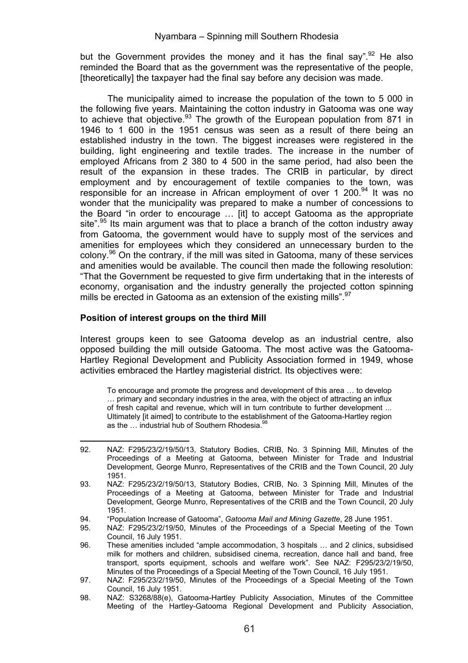but the Government provides the money and it has the final say".<sup>92</sup> He also reminded the Board that as the government was the representative of the people, [theoretically] the taxpayer had the final say before any decision was made.

The municipality aimed to increase the population of the town to 5 000 in the following five years. Maintaining the cotton industry in Gatooma was one way to achieve that objective.<sup>93</sup> The growth of the European population from 871 in 1946 to 1 600 in the 1951 census was seen as a result of there being an established industry in the town. The biggest increases were registered in the building, light engineering and textile trades. The increase in the number of employed Africans from 2 380 to 4 500 in the same period, had also been the result of the expansion in these trades. The CRIB in particular, by direct employment and by encouragement of textile companies to the town, was responsible for an increase in African employment of over 1 200. $94$  It was no wonder that the municipality was prepared to make a number of concessions to the Board "in order to encourage … [it] to accept Gatooma as the appropriate site".<sup>95</sup> Its main argument was that to place a branch of the cotton industry away from Gatooma, the government would have to supply most of the services and amenities for employees which they considered an unnecessary burden to the colony.96 On the contrary, if the mill was sited in Gatooma, many of these services and amenities would be available. The council then made the following resolution: "That the Government be requested to give firm undertaking that in the interests of economy, organisation and the industry generally the projected cotton spinning mills be erected in Gatooma as an extension of the existing mills".<sup>97</sup>

#### **Position of interest groups on the third Mill**

Interest groups keen to see Gatooma develop as an industrial centre, also opposed building the mill outside Gatooma. The most active was the Gatooma-Hartley Regional Development and Publicity Association formed in 1949, whose activities embraced the Hartley magisterial district. Its objectives were:

To encourage and promote the progress and development of this area … to develop … primary and secondary industries in the area, with the object of attracting an influx of fresh capital and revenue, which will in turn contribute to further development ... Ultimately [it aimed] to contribute to the establishment of the Gatooma-Hartley region as the  $\frac{1}{2}$  industrial hub of Southern Rhodesia.<sup>98</sup>

 92. NAZ: F295/23/2/19/50/13, Statutory Bodies, CRIB, No. 3 Spinning Mill, Minutes of the Proceedings of a Meeting at Gatooma, between Minister for Trade and Industrial Development, George Munro, Representatives of the CRIB and the Town Council, 20 July 1951.

<sup>93.</sup> NAZ: F295/23/2/19/50/13, Statutory Bodies, CRIB, No. 3 Spinning Mill, Minutes of the Proceedings of a Meeting at Gatooma, between Minister for Trade and Industrial Development, George Munro, Representatives of the CRIB and the Town Council, 20 July 1951.

<sup>94. &</sup>quot;Population Increase of Gatooma", *Gatooma Mail and Mining Gazette*, 28 June 1951.

<sup>95.</sup> NAZ: F295/23/2/19/50, Minutes of the Proceedings of a Special Meeting of the Town Council, 16 July 1951.

<sup>96.</sup> These amenities included "ample accommodation, 3 hospitals … and 2 clinics, subsidised milk for mothers and children, subsidised cinema, recreation, dance hall and band, free transport, sports equipment, schools and welfare work". See NAZ: F295/23/2/19/50, Minutes of the Proceedings of a Special Meeting of the Town Council, 16 July 1951.

<sup>97.</sup> NAZ: F295/23/2/19/50, Minutes of the Proceedings of a Special Meeting of the Town Council, 16 July 1951.

<sup>98.</sup> NAZ: S3268/88(e), Gatooma-Hartley Publicity Association, Minutes of the Committee Meeting of the Hartley-Gatooma Regional Development and Publicity Association,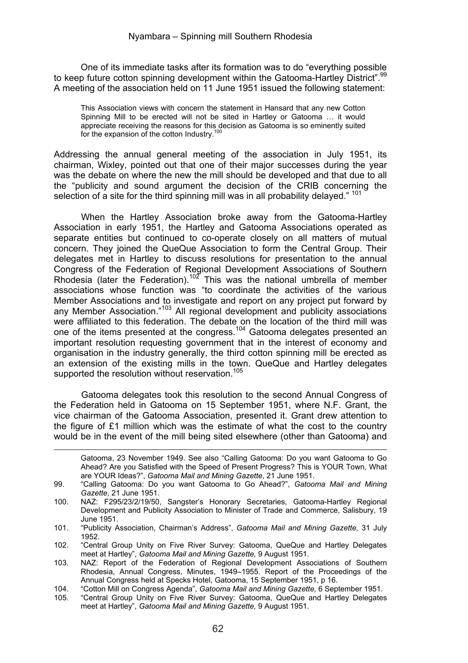One of its immediate tasks after its formation was to do "everything possible to keep future cotton spinning development within the Gatooma-Hartley District".<sup>99</sup> A meeting of the association held on 11 June 1951 issued the following statement:

This Association views with concern the statement in Hansard that any new Cotton Spinning Mill to be erected will not be sited in Hartley or Gatooma … it would appreciate receiving the reasons for this decision as Gatooma is so eminently suited for the expansion of the cotton Industry.<sup>1</sup>

Addressing the annual general meeting of the association in July 1951, its chairman, Wixley, pointed out that one of their major successes during the year was the debate on where the new the mill should be developed and that due to all the "publicity and sound argument the decision of the CRIB concerning the selection of a site for the third spinning mill was in all probability delayed." <sup>101</sup>

When the Hartley Association broke away from the Gatooma-Hartley Association in early 1951, the Hartley and Gatooma Associations operated as separate entities but continued to co-operate closely on all matters of mutual concern. They joined the QueQue Association to form the Central Group. Their delegates met in Hartley to discuss resolutions for presentation to the annual Congress of the Federation of Regional Development Associations of Southern Rhodesia (later the Federation).102 This was the national umbrella of member associations whose function was "to coordinate the activities of the various Member Associations and to investigate and report on any project put forward by any Member Association."<sup>103</sup> All regional development and publicity associations were affiliated to this federation. The debate on the location of the third mill was one of the items presented at the congress.<sup>104</sup> Gatooma delegates presented an important resolution requesting government that in the interest of economy and organisation in the industry generally, the third cotton spinning mill be erected as an extension of the existing mills in the town. QueQue and Hartley delegates supported the resolution without reservation.<sup>105</sup>

Gatooma delegates took this resolution to the second Annual Congress of the Federation held in Gatooma on 15 September 1951, where N.F. Grant, the vice chairman of the Gatooma Association, presented it. Grant drew attention to the figure of £1 million which was the estimate of what the cost to the country would be in the event of the mill being sited elsewhere (other than Gatooma) and

Gatooma, 23 November 1949. See also "Calling Gatooma: Do you want Gatooma to Go Ahead? Are you Satisfied with the Speed of Present Progress? This is YOUR Town, What are YOUR Ideas?", *Gatooma Mail and Mining Gazette*, 21 June 1951.

<sup>99. &</sup>quot;Calling Gatooma: Do you want Gatooma to Go Ahead?", *Gatooma Mail and Mining Gazette*, 21 June 1951.

<sup>100.</sup> NAZ: F295/23/2/19/50, Sangster's Honorary Secretaries, Gatooma-Hartley Regional Development and Publicity Association to Minister of Trade and Commerce, Salisbury, 19 June 1951.

<sup>101. &</sup>quot;Publicity Association, Chairman's Address", *Gatooma Mail and Mining Gazette,* 31 July 1952.

<sup>102. &</sup>quot;Central Group Unity on Five River Survey: Gatooma, QueQue and Hartley Delegates meet at Hartley", *Gatooma Mail and Mining Gazette,* 9 August 1951.

<sup>103.</sup> NAZ: Report of the Federation of Regional Development Associations of Southern Rhodesia, Annual Congress, Minutes, 1949–1955. Report of the Proceedings of the Annual Congress held at Specks Hotel, Gatooma, 15 September 1951, p 16.

<sup>104. &</sup>quot;Cotton Mill on Congress Agenda", *Gatooma Mail and Mining Gazette,* 6 September 1951.

<sup>&</sup>quot;Central Group Unity on Five River Survey: Gatooma, QueQue and Hartley Delegates meet at Hartley", *Gatooma Mail and Mining Gazette,* 9 August 1951.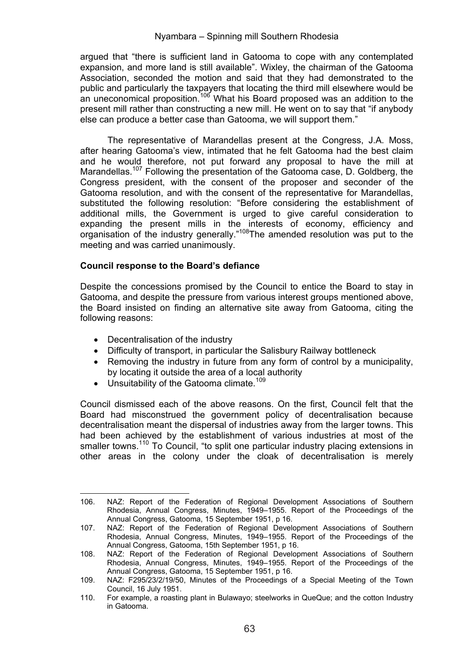argued that "there is sufficient land in Gatooma to cope with any contemplated expansion, and more land is still available". Wixley, the chairman of the Gatooma Association, seconded the motion and said that they had demonstrated to the public and particularly the taxpayers that locating the third mill elsewhere would be an uneconomical proposition.<sup>106</sup> What his Board proposed was an addition to the present mill rather than constructing a new mill. He went on to say that "if anybody else can produce a better case than Gatooma, we will support them."

The representative of Marandellas present at the Congress, J.A. Moss, after hearing Gatooma's view, intimated that he felt Gatooma had the best claim and he would therefore, not put forward any proposal to have the mill at Marandellas.<sup>107</sup> Following the presentation of the Gatooma case, D. Goldberg, the Congress president, with the consent of the proposer and seconder of the Gatooma resolution, and with the consent of the representative for Marandellas, substituted the following resolution: "Before considering the establishment of additional mills, the Government is urged to give careful consideration to expanding the present mills in the interests of economy, efficiency and organisation of the industry generally."108The amended resolution was put to the meeting and was carried unanimously.

## **Council response to the Board's defiance**

Despite the concessions promised by the Council to entice the Board to stay in Gatooma, and despite the pressure from various interest groups mentioned above, the Board insisted on finding an alternative site away from Gatooma, citing the following reasons:

• Decentralisation of the industry

- Difficulty of transport, in particular the Salisbury Railway bottleneck
- Removing the industry in future from any form of control by a municipality, by locating it outside the area of a local authority
- $\bullet$  Unsuitability of the Gatooma climate.<sup>109</sup>

Council dismissed each of the above reasons. On the first, Council felt that the Board had misconstrued the government policy of decentralisation because decentralisation meant the dispersal of industries away from the larger towns. This had been achieved by the establishment of various industries at most of the smaller towns.<sup>110</sup> To Council, "to split one particular industry placing extensions in other areas in the colony under the cloak of decentralisation is merely

<sup>106.</sup> NAZ: Report of the Federation of Regional Development Associations of Southern Rhodesia, Annual Congress, Minutes, 1949–1955. Report of the Proceedings of the Annual Congress, Gatooma, 15 September 1951, p 16.

<sup>107.</sup> NAZ: Report of the Federation of Regional Development Associations of Southern Rhodesia, Annual Congress, Minutes, 1949–1955. Report of the Proceedings of the Annual Congress, Gatooma, 15th September 1951, p 16.

<sup>108.</sup> NAZ: Report of the Federation of Regional Development Associations of Southern Rhodesia, Annual Congress, Minutes, 1949–1955. Report of the Proceedings of the Annual Congress, Gatooma, 15 September 1951, p 16.

<sup>109.</sup> NAZ: F295/23/2/19/50, Minutes of the Proceedings of a Special Meeting of the Town Council, 16 July 1951.

<sup>110.</sup> For example, a roasting plant in Bulawayo; steelworks in QueQue; and the cotton Industry in Gatooma.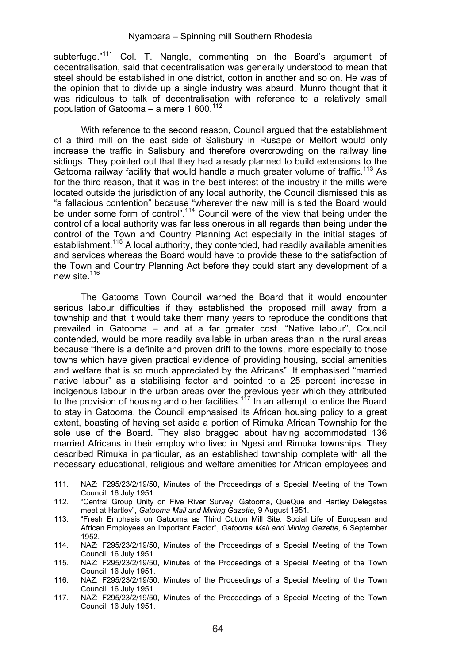subterfuge."<sup>111</sup> Col. T. Nangle, commenting on the Board's argument of decentralisation, said that decentralisation was generally understood to mean that steel should be established in one district, cotton in another and so on. He was of the opinion that to divide up a single industry was absurd. Munro thought that it was ridiculous to talk of decentralisation with reference to a relatively small population of Gatooma – a mere 1 600 $112$ 

With reference to the second reason. Council argued that the establishment of a third mill on the east side of Salisbury in Rusape or Melfort would only increase the traffic in Salisbury and therefore overcrowding on the railway line sidings. They pointed out that they had already planned to build extensions to the Gatooma railway facility that would handle a much greater volume of traffic.<sup>113</sup> As for the third reason, that it was in the best interest of the industry if the mills were located outside the jurisdiction of any local authority, the Council dismissed this as "a fallacious contention" because "wherever the new mill is sited the Board would be under some form of control".<sup>114</sup> Council were of the view that being under the control of a local authority was far less onerous in all regards than being under the control of the Town and Country Planning Act especially in the initial stages of establishment.<sup>115</sup> A local authority, they contended, had readily available amenities and services whereas the Board would have to provide these to the satisfaction of the Town and Country Planning Act before they could start any development of a new site.<sup>116</sup>

The Gatooma Town Council warned the Board that it would encounter serious labour difficulties if they established the proposed mill away from a township and that it would take them many years to reproduce the conditions that prevailed in Gatooma – and at a far greater cost. "Native labour", Council contended, would be more readily available in urban areas than in the rural areas because "there is a definite and proven drift to the towns, more especially to those towns which have given practical evidence of providing housing, social amenities and welfare that is so much appreciated by the Africans". It emphasised "married native labour" as a stabilising factor and pointed to a 25 percent increase in indigenous labour in the urban areas over the previous year which they attributed to the provision of housing and other facilities.<sup>117</sup> In an attempt to entice the Board to stay in Gatooma, the Council emphasised its African housing policy to a great extent, boasting of having set aside a portion of Rimuka African Township for the sole use of the Board. They also bragged about having accommodated 136 married Africans in their employ who lived in Ngesi and Rimuka townships. They described Rimuka in particular, as an established township complete with all the necessary educational, religious and welfare amenities for African employees and

<sup>111.</sup> NAZ: F295/23/2/19/50, Minutes of the Proceedings of a Special Meeting of the Town Council, 16 July 1951.

<sup>112. &</sup>quot;Central Group Unity on Five River Survey: Gatooma, QueQue and Hartley Delegates meet at Hartley", *Gatooma Mail and Mining Gazette,* 9 August 1951.

<sup>113. &</sup>quot;Fresh Emphasis on Gatooma as Third Cotton Mill Site: Social Life of European and African Employees an Important Factor", *Gatooma Mail and Mining Gazette,* 6 September 1952.

<sup>114.</sup> NAZ: F295/23/2/19/50, Minutes of the Proceedings of a Special Meeting of the Town Council, 16 July 1951.

<sup>115.</sup> NAZ: F295/23/2/19/50, Minutes of the Proceedings of a Special Meeting of the Town Council, 16 July 1951.

<sup>116.</sup> NAZ: F295/23/2/19/50, Minutes of the Proceedings of a Special Meeting of the Town Council, 16 July 1951.

<sup>117.</sup> NAZ: F295/23/2/19/50, Minutes of the Proceedings of a Special Meeting of the Town Council, 16 July 1951.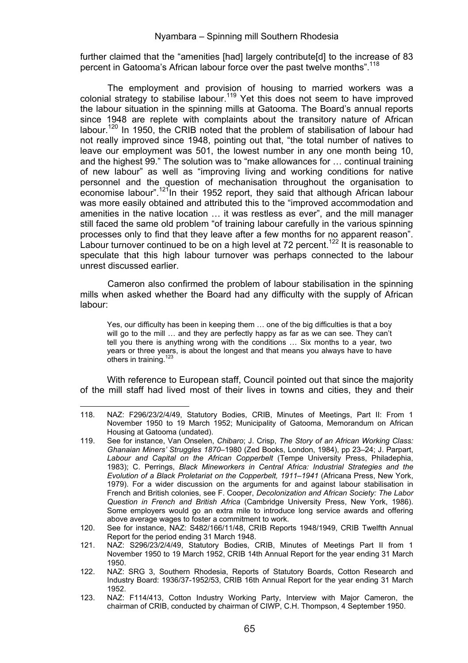further claimed that the "amenities [had] largely contribute[d] to the increase of 83 percent in Gatooma's African labour force over the past twelve months".<sup>118</sup>

The employment and provision of housing to married workers was a colonial strategy to stabilise labour.<sup>119</sup> Yet this does not seem to have improved the labour situation in the spinning mills at Gatooma. The Board's annual reports since 1948 are replete with complaints about the transitory nature of African labour.<sup>120</sup> In 1950, the CRIB noted that the problem of stabilisation of labour had not really improved since 1948, pointing out that, "the total number of natives to leave our employment was 501, the lowest number in any one month being 10, and the highest 99." The solution was to "make allowances for … continual training of new labour" as well as "improving living and working conditions for native personnel and the question of mechanisation throughout the organisation to economise labour".<sup>121</sup>In their 1952 report, they said that although African labour was more easily obtained and attributed this to the "improved accommodation and amenities in the native location … it was restless as ever", and the mill manager still faced the same old problem "of training labour carefully in the various spinning processes only to find that they leave after a few months for no apparent reason". Labour turnover continued to be on a high level at 72 percent.<sup>122</sup> It is reasonable to speculate that this high labour turnover was perhaps connected to the labour unrest discussed earlier.

Cameron also confirmed the problem of labour stabilisation in the spinning mills when asked whether the Board had any difficulty with the supply of African labour:

Yes, our difficulty has been in keeping them … one of the big difficulties is that a boy will go to the mill ... and they are perfectly happy as far as we can see. They can't tell you there is anything wrong with the conditions … Six months to a year, two years or three years, is about the longest and that means you always have to have others in training.<sup>123</sup>

With reference to European staff, Council pointed out that since the majority of the mill staff had lived most of their lives in towns and cities, they and their

<sup>&</sup>lt;u> Alexandria de la contrada de la contrada de la contrada de la contrada de la contrada de la contrada de la c</u> 118. NAZ: F296/23/2/4/49, Statutory Bodies, CRIB, Minutes of Meetings, Part II: From 1 November 1950 to 19 March 1952; Municipality of Gatooma, Memorandum on African Housing at Gatooma (undated).

<sup>119.</sup> See for instance, Van Onselen, *Chibaro*; J. Crisp, *The Story of an African Working Class: Ghanaian Miners' Struggles 1870–*1980 (Zed Books, London, 1984), pp 23–24; J. Parpart, *Labour and Capital on the African Copperbelt* (Tempe University Press, Philadephia, 1983); C. Perrings, *Black Mineworkers in Central Africa: Industrial Strategies and the Evolution of a Black Proletariat on the Copperbelt, 1911–1941* (Africana Press, New York, 1979). For a wider discussion on the arguments for and against labour stabilisation in French and British colonies, see F. Cooper, *Decolonization and African Society: The Labor Question in French and British Africa* (Cambridge University Press, New York, 1986). Some employers would go an extra mile to introduce long service awards and offering above average wages to foster a commitment to work.

<sup>120.</sup> See for instance, NAZ: S482/166/11/48, CRIB Reports 1948/1949, CRIB Twelfth Annual Report for the period ending 31 March 1948.

<sup>121.</sup> NAZ: S296/23/2/4/49, Statutory Bodies, CRIB, Minutes of Meetings Part II from 1 November 1950 to 19 March 1952, CRIB 14th Annual Report for the year ending 31 March 1950.

<sup>122.</sup> NAZ: SRG 3, Southern Rhodesia, Reports of Statutory Boards, Cotton Research and Industry Board: 1936/37-1952/53, CRIB 16th Annual Report for the year ending 31 March 1952.

<sup>123.</sup> NAZ: F114/413, Cotton Industry Working Party, Interview with Major Cameron, the chairman of CRIB, conducted by chairman of CIWP, C.H. Thompson, 4 September 1950.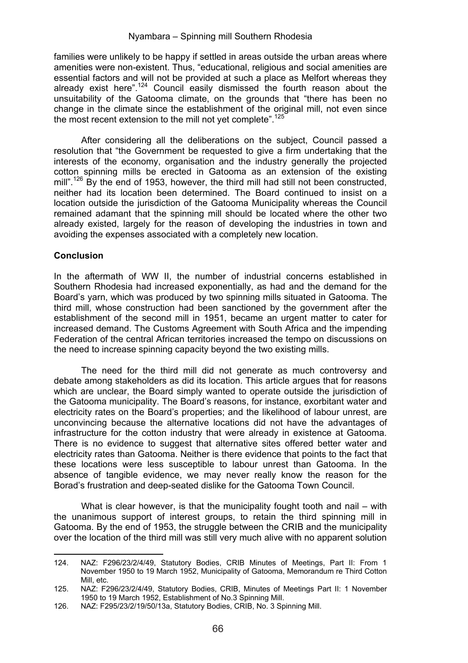families were unlikely to be happy if settled in areas outside the urban areas where amenities were non-existent. Thus, "educational, religious and social amenities are essential factors and will not be provided at such a place as Melfort whereas they already exist here".<sup>124</sup> Council easily dismissed the fourth reason about the unsuitability of the Gatooma climate, on the grounds that "there has been no change in the climate since the establishment of the original mill, not even since the most recent extension to the mill not vet complete".<sup>125</sup>

After considering all the deliberations on the subject, Council passed a resolution that "the Government be requested to give a firm undertaking that the interests of the economy, organisation and the industry generally the projected cotton spinning mills be erected in Gatooma as an extension of the existing mill".<sup>126</sup> By the end of 1953, however, the third mill had still not been constructed. neither had its location been determined. The Board continued to insist on a location outside the jurisdiction of the Gatooma Municipality whereas the Council remained adamant that the spinning mill should be located where the other two already existed, largely for the reason of developing the industries in town and avoiding the expenses associated with a completely new location.

## **Conclusion**

In the aftermath of WW II, the number of industrial concerns established in Southern Rhodesia had increased exponentially, as had and the demand for the Board's yarn, which was produced by two spinning mills situated in Gatooma. The third mill, whose construction had been sanctioned by the government after the establishment of the second mill in 1951, became an urgent matter to cater for increased demand. The Customs Agreement with South Africa and the impending Federation of the central African territories increased the tempo on discussions on the need to increase spinning capacity beyond the two existing mills.

The need for the third mill did not generate as much controversy and debate among stakeholders as did its location. This article argues that for reasons which are unclear, the Board simply wanted to operate outside the jurisdiction of the Gatooma municipality. The Board's reasons, for instance, exorbitant water and electricity rates on the Board's properties; and the likelihood of labour unrest, are unconvincing because the alternative locations did not have the advantages of infrastructure for the cotton industry that were already in existence at Gatooma. There is no evidence to suggest that alternative sites offered better water and electricity rates than Gatooma. Neither is there evidence that points to the fact that these locations were less susceptible to labour unrest than Gatooma. In the absence of tangible evidence, we may never really know the reason for the Borad's frustration and deep-seated dislike for the Gatooma Town Council.

What is clear however, is that the municipality fought tooth and nail – with the unanimous support of interest groups, to retain the third spinning mill in Gatooma. By the end of 1953, the struggle between the CRIB and the municipality over the location of the third mill was still very much alive with no apparent solution

 124. NAZ: F296/23/2/4/49, Statutory Bodies, CRIB Minutes of Meetings, Part II: From 1 November 1950 to 19 March 1952, Municipality of Gatooma, Memorandum re Third Cotton Mill, etc.

<sup>125.</sup> NAZ: F296/23/2/4/49, Statutory Bodies, CRIB, Minutes of Meetings Part II: 1 November 1950 to 19 March 1952, Establishment of No.3 Spinning Mill.

<sup>126.</sup> NAZ: F295/23/2/19/50/13a, Statutory Bodies, CRIB, No. 3 Spinning Mill.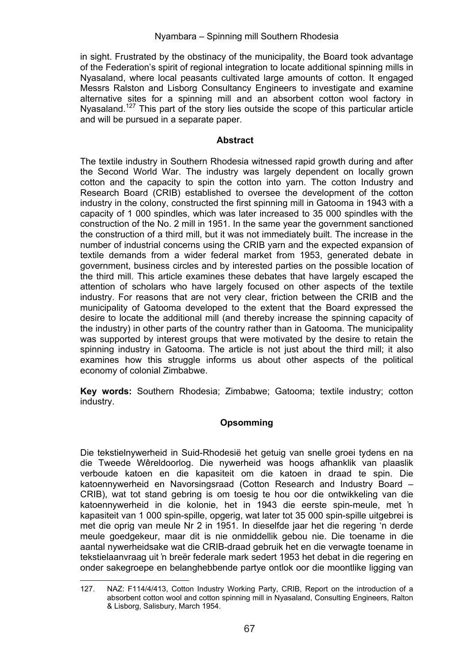in sight. Frustrated by the obstinacy of the municipality, the Board took advantage of the Federation's spirit of regional integration to locate additional spinning mills in Nyasaland, where local peasants cultivated large amounts of cotton. It engaged Messrs Ralston and Lisborg Consultancy Engineers to investigate and examine alternative sites for a spinning mill and an absorbent cotton wool factory in Nyasaland.<sup>127</sup> This part of the story lies outside the scope of this particular article and will be pursued in a separate paper.

## **Abstract**

The textile industry in Southern Rhodesia witnessed rapid growth during and after the Second World War. The industry was largely dependent on locally grown cotton and the capacity to spin the cotton into yarn. The cotton Industry and Research Board (CRIB) established to oversee the development of the cotton industry in the colony, constructed the first spinning mill in Gatooma in 1943 with a capacity of 1 000 spindles, which was later increased to 35 000 spindles with the construction of the No. 2 mill in 1951. In the same year the government sanctioned the construction of a third mill, but it was not immediately built. The increase in the number of industrial concerns using the CRIB yarn and the expected expansion of textile demands from a wider federal market from 1953, generated debate in government, business circles and by interested parties on the possible location of the third mill. This article examines these debates that have largely escaped the attention of scholars who have largely focused on other aspects of the textile industry. For reasons that are not very clear, friction between the CRIB and the municipality of Gatooma developed to the extent that the Board expressed the desire to locate the additional mill (and thereby increase the spinning capacity of the industry) in other parts of the country rather than in Gatooma. The municipality was supported by interest groups that were motivated by the desire to retain the spinning industry in Gatooma. The article is not just about the third mill; it also examines how this struggle informs us about other aspects of the political economy of colonial Zimbabwe.

**Key words:** Southern Rhodesia; Zimbabwe; Gatooma; textile industry; cotton industry.

# **Opsomming**

Die tekstielnywerheid in Suid-Rhodesië het getuig van snelle groei tydens en na die Tweede Wêreldoorlog. Die nywerheid was hoogs afhanklik van plaaslik verboude katoen en die kapasiteit om die katoen in draad te spin. Die katoennywerheid en Navorsingsraad (Cotton Research and Industry Board – CRIB), wat tot stand gebring is om toesig te hou oor die ontwikkeling van die katoennywerheid in die kolonie, het in 1943 die eerste spin-meule, met 'n kapasiteit van 1 000 spin-spille, opgerig, wat later tot 35 000 spin-spille uitgebrei is met die oprig van meule Nr 2 in 1951. In dieselfde jaar het die regering 'n derde meule goedgekeur, maar dit is nie onmiddellik gebou nie. Die toename in die aantal nywerheidsake wat die CRIB-draad gebruik het en die verwagte toename in tekstielaanvraag uit 'n breër federale mark sedert 1953 het debat in die regering en onder sakegroepe en belanghebbende partye ontlok oor die moontlike ligging van

 127. NAZ: F114/4/413, Cotton Industry Working Party, CRIB, Report on the introduction of a absorbent cotton wool and cotton spinning mill in Nyasaland, Consulting Engineers, Ralton & Lisborg, Salisbury, March 1954.